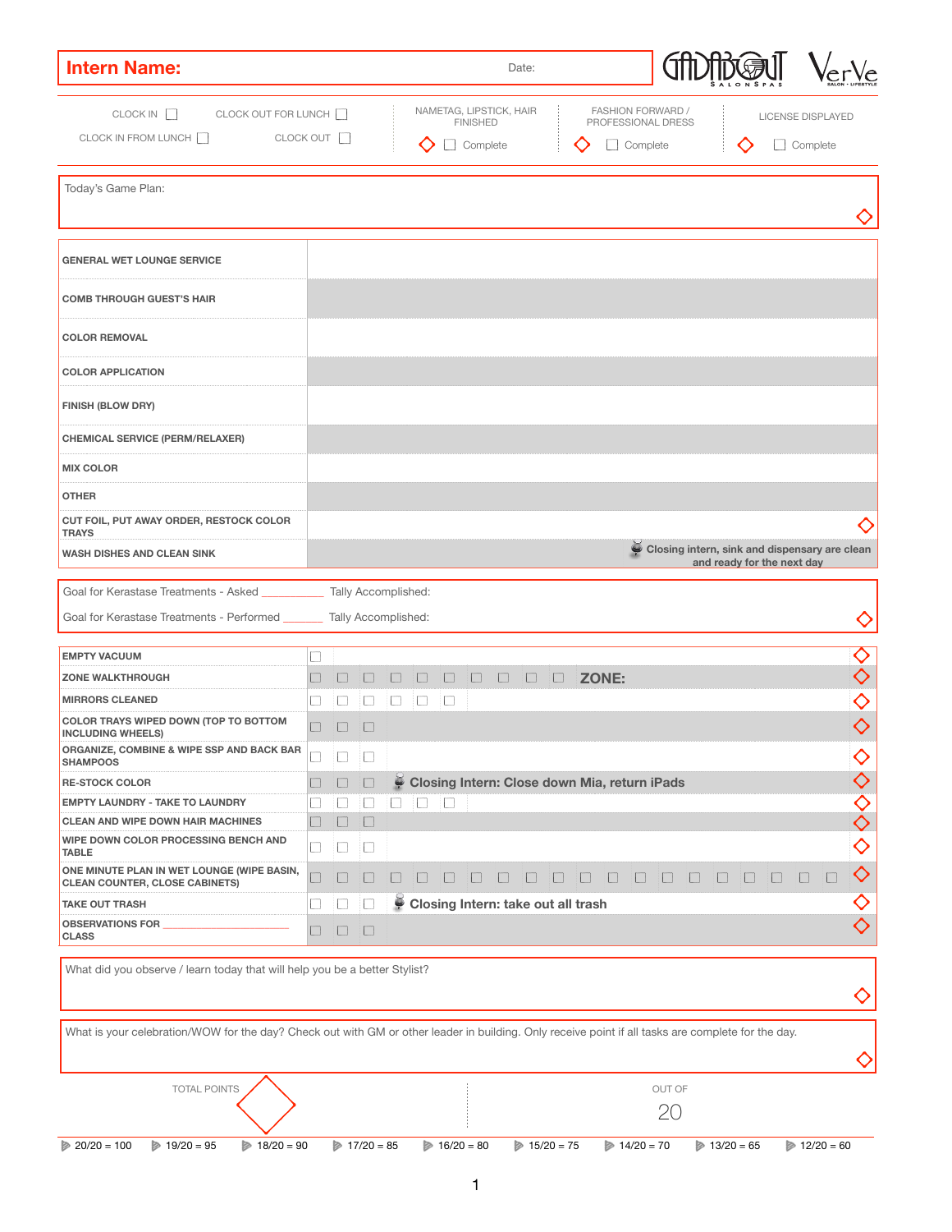| <b>Intern Name:</b>                                                                 |               |                                       |                             |        |        |        |                             |                                                     | Date:  |        |              |                                                |              |              |        |              |                                                                             |                   |
|-------------------------------------------------------------------------------------|---------------|---------------------------------------|-----------------------------|--------|--------|--------|-----------------------------|-----------------------------------------------------|--------|--------|--------------|------------------------------------------------|--------------|--------------|--------|--------------|-----------------------------------------------------------------------------|-------------------|
| CLOCK IN<br>CLOCK OUT FOR LUNCH<br>CLOCK IN FROM LUNCH<br>CLOCK OUT                 |               |                                       |                             |        |        |        | <b>FINISHED</b><br>Complete | NAMETAG, LIPSTICK, HAIR                             |        |        |              | <b>FASHION FORWARD /</b><br>PROFESSIONAL DRESS | Complete     |              |        |              | <b>LICENSE DISPLAYED</b><br>Complete                                        |                   |
| Today's Game Plan:                                                                  |               |                                       |                             |        |        |        |                             |                                                     |        |        |              |                                                |              |              |        |              |                                                                             |                   |
| <b>GENERAL WET LOUNGE SERVICE</b>                                                   |               |                                       |                             |        |        |        |                             |                                                     |        |        |              |                                                |              |              |        |              |                                                                             |                   |
| <b>COMB THROUGH GUEST'S HAIR</b>                                                    |               |                                       |                             |        |        |        |                             |                                                     |        |        |              |                                                |              |              |        |              |                                                                             |                   |
| <b>COLOR REMOVAL</b>                                                                |               |                                       |                             |        |        |        |                             |                                                     |        |        |              |                                                |              |              |        |              |                                                                             |                   |
| <b>COLOR APPLICATION</b>                                                            |               |                                       |                             |        |        |        |                             |                                                     |        |        |              |                                                |              |              |        |              |                                                                             |                   |
| <b>FINISH (BLOW DRY)</b>                                                            |               |                                       |                             |        |        |        |                             |                                                     |        |        |              |                                                |              |              |        |              |                                                                             |                   |
| <b>CHEMICAL SERVICE (PERM/RELAXER)</b>                                              |               |                                       |                             |        |        |        |                             |                                                     |        |        |              |                                                |              |              |        |              |                                                                             |                   |
| <b>MIX COLOR</b>                                                                    |               |                                       |                             |        |        |        |                             |                                                     |        |        |              |                                                |              |              |        |              |                                                                             |                   |
| <b>OTHER</b>                                                                        |               |                                       |                             |        |        |        |                             |                                                     |        |        |              |                                                |              |              |        |              |                                                                             |                   |
| CUT FOIL, PUT AWAY ORDER, RESTOCK COLOR<br><b>TRAYS</b>                             |               |                                       |                             |        |        |        |                             |                                                     |        |        |              |                                                |              |              |        |              |                                                                             |                   |
| <b>WASH DISHES AND CLEAN SINK</b>                                                   |               |                                       |                             |        |        |        |                             |                                                     |        |        |              |                                                |              |              |        |              | Closing intern, sink and dispensary are clean<br>and ready for the next day |                   |
| Goal for Kerastase Treatments - Asked                                               |               | <b>Tally Accomplished:</b>            |                             |        |        |        |                             |                                                     |        |        |              |                                                |              |              |        |              |                                                                             |                   |
| Goal for Kerastase Treatments - Performed ______                                    |               | <b>Tally Accomplished:</b>            |                             |        |        |        |                             |                                                     |        |        |              |                                                |              |              |        |              |                                                                             |                   |
| <b>EMPTY VACUUM</b>                                                                 |               |                                       |                             |        |        |        |                             |                                                     |        |        |              |                                                |              |              |        |              |                                                                             |                   |
| <b>ZONE WALKTHROUGH</b>                                                             |               |                                       |                             |        |        |        | $\Box$                      | $\Box$                                              | $\Box$ | $\Box$ | <b>ZONE:</b> |                                                |              |              |        |              |                                                                             |                   |
| <b>MIRRORS CLEANED</b>                                                              |               | $\sim$                                | $\mathcal{L}_{\mathcal{A}}$ | $\Box$ | $\Box$ | $\Box$ |                             |                                                     |        |        |              |                                                |              |              |        |              |                                                                             |                   |
| <b>COLOR TRAYS WIPED DOWN (TOP TO BOTTOM</b><br><b>INCLUDING WHEELS)</b>            |               | L.                                    | $\bigoplus$                 |        |        |        |                             |                                                     |        |        |              |                                                |              |              |        |              |                                                                             |                   |
| <b>ORGANIZE, COMBINE &amp; WIPE SSP AND BACK BAR</b><br><b>SHAMPOOS</b>             |               | <b>College</b>                        |                             |        |        |        |                             |                                                     |        |        |              |                                                |              |              |        |              |                                                                             |                   |
| <b>RE-STOCK COLOR</b>                                                               |               | ш                                     | $\Box$                      | ۷      |        |        |                             | <b>Closing Intern: Close down Mia, return iPads</b> |        |        |              |                                                |              |              |        |              |                                                                             |                   |
| <b>EMPTY LAUNDRY - TAKE TO LAUNDRY</b>                                              | $\mathcal{L}$ | $\mathcal{L}_{\mathcal{A}}$           | $\Box$                      | $\Box$ | $\Box$ | $\Box$ |                             |                                                     |        |        |              |                                                |              |              |        |              |                                                                             |                   |
| <b>CLEAN AND WIPE DOWN HAIR MACHINES</b>                                            | $\Box$        | $\begin{array}{c} \hline \end{array}$ | $\Box$                      |        |        |        |                             |                                                     |        |        |              |                                                |              |              |        |              |                                                                             |                   |
| <b>WIPE DOWN COLOR PROCESSING BENCH AND</b><br><b>TABLE</b>                         |               | $\mathcal{L}_{\mathcal{A}}$           | $\Box$                      |        |        |        |                             |                                                     |        |        |              |                                                |              |              |        |              |                                                                             | K)                |
| ONE MINUTE PLAN IN WET LOUNGE (WIPE BASIN,<br><b>CLEAN COUNTER, CLOSE CABINETS)</b> |               |                                       |                             |        |        |        |                             |                                                     |        |        | $\Box$       |                                                | $\mathbf{1}$ | $\mathbf{1}$ | $\Box$ | $\mathbf{1}$ |                                                                             | $\langle \rangle$ |
| <b>TAKE OUT TRASH</b>                                                               |               | $\mathcal{L}_{\mathcal{A}}$           |                             | ÷      |        |        |                             | <b>Closing Intern: take out all trash</b>           |        |        |              |                                                |              |              |        |              |                                                                             | 〈 〉               |
| <b>OBSERVATIONS FOR</b><br><b>CLASS</b>                                             |               | L                                     | $\Box$                      |        |        |        |                             |                                                     |        |        |              |                                                |              |              |        |              |                                                                             |                   |

What did you observe / learn today that will help you be a better Stylist?

What is your celebration/WOW for the day? Check out with GM or other leader in building. Only receive point if all tasks are complete for the day.

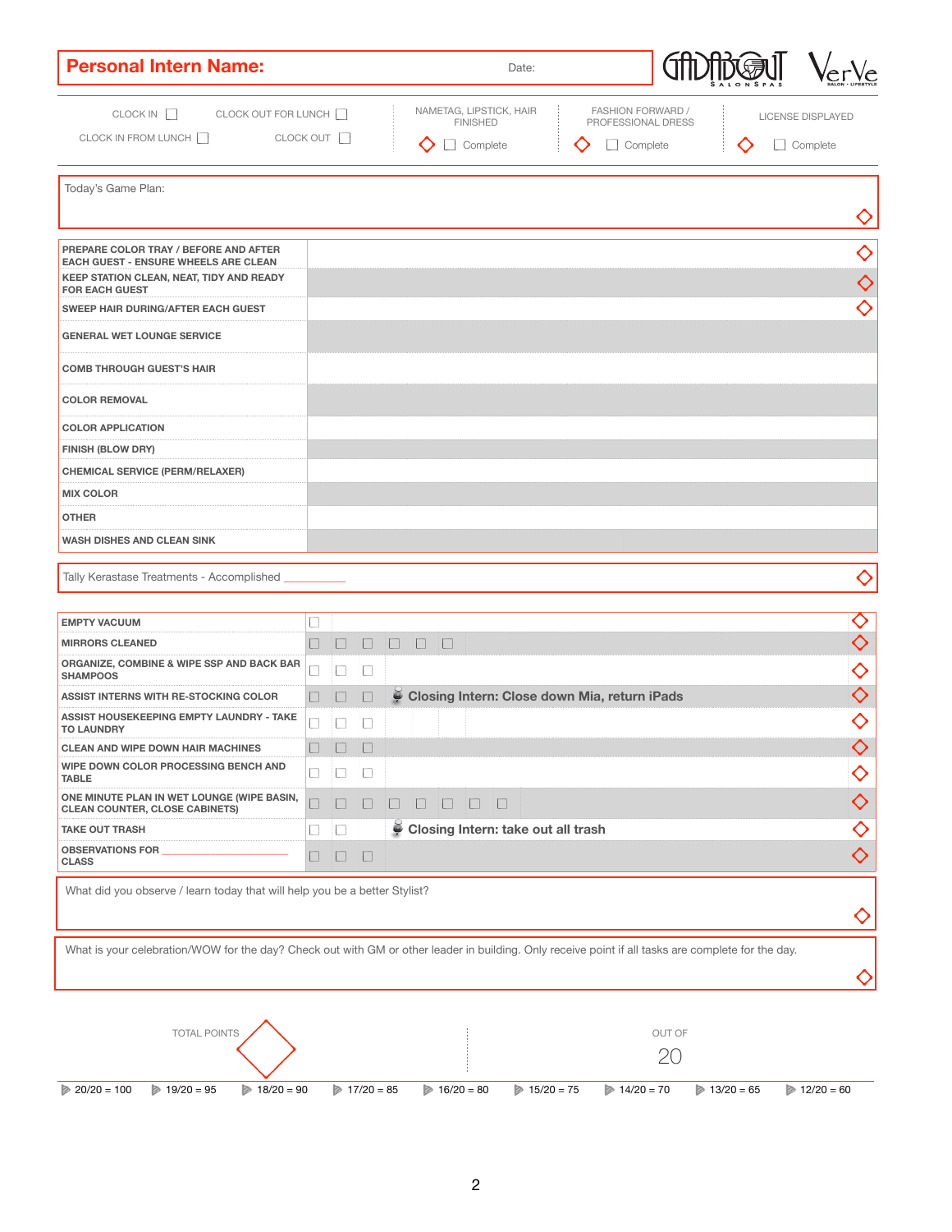| <b>Personal Intern Name:</b>                                                                                                            |              |                                    | Date:                                                                                                   |                                                            |  |                                      |
|-----------------------------------------------------------------------------------------------------------------------------------------|--------------|------------------------------------|---------------------------------------------------------------------------------------------------------|------------------------------------------------------------|--|--------------------------------------|
| CLOCK IN<br>CLOCK OUT FOR LUNCH<br>CLOCK OUT<br>CLOCK IN FROM LUNCH                                                                     |              |                                    | NAMETAG, LIPSTICK, HAIR<br><b>FINISHED</b><br>Complete                                                  | <b>FASHION FORWARD /</b><br>PROFESSIONAL DRESS<br>Complete |  | <b>LICENSE DISPLAYED</b><br>Complete |
| Today's Game Plan:                                                                                                                      |              |                                    |                                                                                                         |                                                            |  | $\bigcirc$                           |
| <b>PREPARE COLOR TRAY / BEFORE AND AFTER</b><br><b>EACH GUEST - ENSURE WHEELS ARE CLEAN</b><br>KEEP STATION CLEAN, NEAT, TIDY AND READY |              |                                    |                                                                                                         |                                                            |  | $\bigcirc$<br>$\bigcirc$             |
| <b>FOR EACH GUEST</b><br><b>SWEEP HAIR DURING/AFTER EACH GUEST</b><br><b>GENERAL WET LOUNGE SERVICE</b>                                 |              |                                    |                                                                                                         |                                                            |  | $\langle \ \rangle$                  |
| <b>COMB THROUGH GUEST'S HAIR</b>                                                                                                        |              |                                    |                                                                                                         |                                                            |  |                                      |
| <b>COLOR REMOVAL</b><br><b>COLOR APPLICATION</b><br><b>FINISH (BLOW DRY)</b>                                                            |              |                                    |                                                                                                         |                                                            |  |                                      |
| <b>CHEMICAL SERVICE (PERM/RELAXER)</b><br><b>MIX COLOR</b>                                                                              |              |                                    |                                                                                                         |                                                            |  |                                      |
| <b>OTHER</b><br><b>WASH DISHES AND CLEAN SINK</b>                                                                                       |              |                                    |                                                                                                         |                                                            |  |                                      |
| Tally Kerastase Treatments - Accomplished                                                                                               |              |                                    |                                                                                                         |                                                            |  |                                      |
| <b>EMPTY VACUUM</b>                                                                                                                     |              |                                    |                                                                                                         |                                                            |  |                                      |
| <b>MIRRORS CLEANED</b><br><b>ORGANIZE, COMBINE &amp; WIPE SSP AND BACK BAR</b><br><b>SHAMPOOS</b>                                       | $\mathbf{1}$ | $\Box$<br>$\overline{\phantom{a}}$ | $\begin{array}{ccc} \hline \quad \quad & \quad \quad & \quad \quad & \quad \quad \\ \hline \end{array}$ |                                                            |  | ◇                                    |
| <b>ASSIST INTERNS WITH RE-STOCKING COLOR</b>                                                                                            |              | $\Box$                             | Closing Intern: Close down Mia, return iPads                                                            |                                                            |  |                                      |

| <b>ASSIST HOUSEKEEPING EMPTY LAUNDRY - TAKE</b><br><b>TO LAUNDRY</b>                                                                               |                             |                             | $\overline{\phantom{a}}$ |                             |                                           |                             |                             | $\bigcirc$                  |
|----------------------------------------------------------------------------------------------------------------------------------------------------|-----------------------------|-----------------------------|--------------------------|-----------------------------|-------------------------------------------|-----------------------------|-----------------------------|-----------------------------|
| <b>CLEAN AND WIPE DOWN HAIR MACHINES</b>                                                                                                           |                             |                             | $\Box$                   |                             |                                           |                             |                             |                             |
| <b>WIPE DOWN COLOR PROCESSING BENCH AND</b><br><b>TABLE</b>                                                                                        | Г                           | $\mathcal{L}_{\mathcal{A}}$ | $\Box$                   |                             |                                           |                             |                             | $\Diamond$                  |
| ONE MINUTE PLAN IN WET LOUNGE (WIPE BASIN,<br><b>CLEAN COUNTER, CLOSE CABINETS)</b>                                                                |                             |                             |                          |                             | $\mathcal{L}$                             |                             |                             |                             |
| <b>TAKE OUT TRASH</b>                                                                                                                              | $\mathcal{L}_{\mathcal{A}}$ | $\Box$                      |                          | ۷                           | <b>Closing Intern: take out all trash</b> |                             |                             |                             |
| <b>OBSERVATIONS FOR</b><br><b>CLASS</b>                                                                                                            |                             |                             | $\Box$                   |                             |                                           |                             |                             |                             |
| What did you observe / learn today that will help you be a better Stylist?                                                                         |                             |                             |                          |                             |                                           |                             |                             |                             |
| What is your celebration/WOW for the day? Check out with GM or other leader in building. Only receive point if all tasks are complete for the day. |                             |                             |                          |                             |                                           |                             |                             |                             |
| <b>TOTAL POINTS</b>                                                                                                                                |                             |                             |                          |                             |                                           | OUT OF<br>20                |                             |                             |
| $\triangleright$ 19/20 = 95<br>$18/20 = 90$<br>$20/20 = 100$<br>Þ                                                                                  |                             | Þ                           | $17/20 = 85$             | $\triangleright$ 16/20 = 80 | $\triangleright$ 15/20 = 75               | $\triangleright$ 14/20 = 70 | $\triangleright$ 13/20 = 65 | $\triangleright$ 12/20 = 60 |